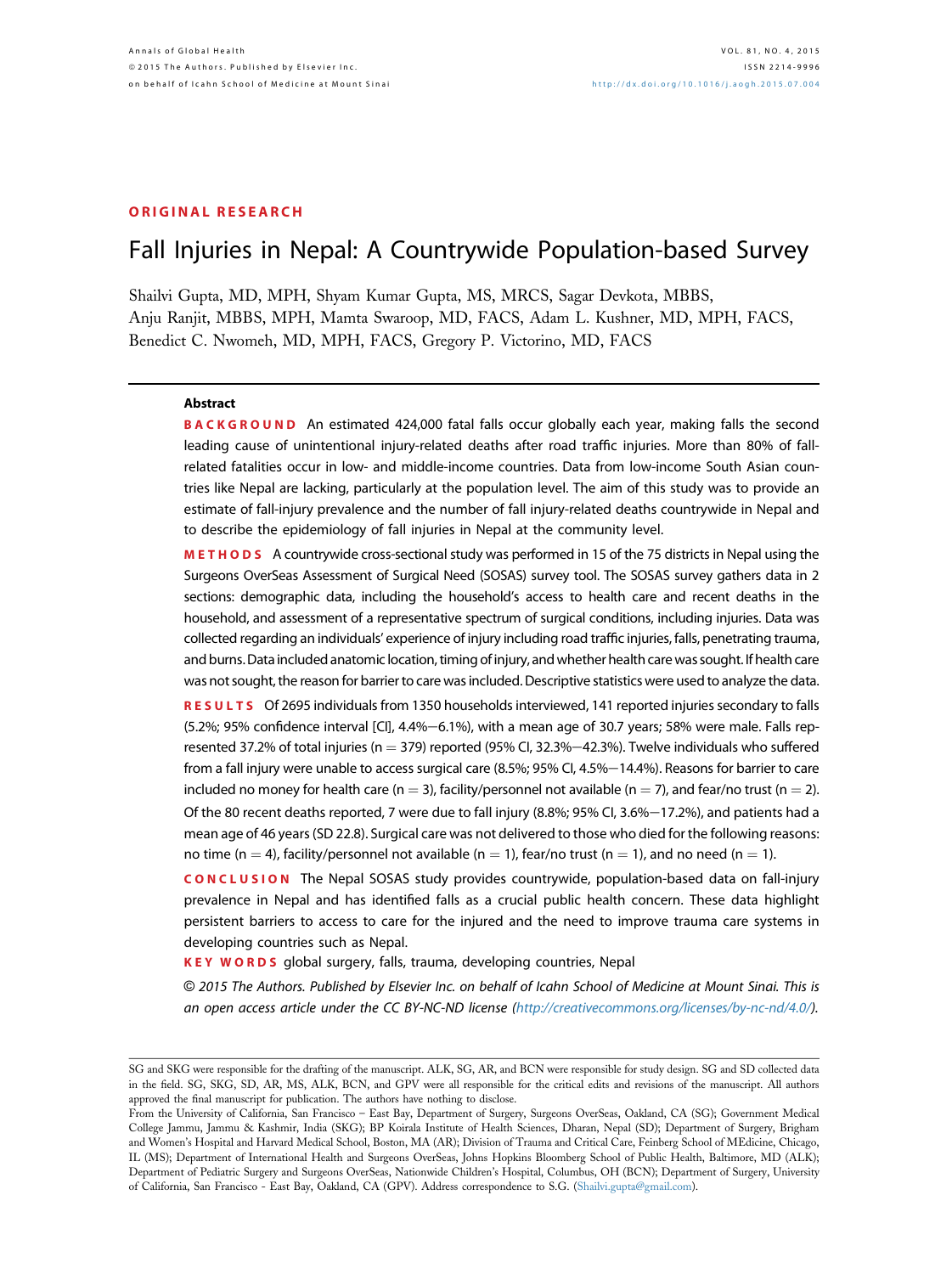# ORIGINAL RESEARCH

# Fall Injuries in Nepal: A Countrywide Population-based Survey

Shailvi Gupta, MD, MPH, Shyam Kumar Gupta, MS, MRCS, Sagar Devkota, MBBS, Anju Ranjit, MBBS, MPH, Mamta Swaroop, MD, FACS, Adam L. Kushner, MD, MPH, FACS, Benedict C. Nwomeh, MD, MPH, FACS, Gregory P. Victorino, MD, FACS

#### Abstract

BACKGROUND An estimated 424,000 fatal falls occur globally each year, making falls the second leading cause of unintentional injury-related deaths after road traffic injuries. More than 80% of fallrelated fatalities occur in low- and middle-income countries. Data from low-income South Asian countries like Nepal are lacking, particularly at the population level. The aim of this study was to provide an estimate of fall-injury prevalence and the number of fall injury-related deaths countrywide in Nepal and to describe the epidemiology of fall injuries in Nepal at the community level.

METHODS A countrywide cross-sectional study was performed in 15 of the 75 districts in Nepal using the Surgeons OverSeas Assessment of Surgical Need (SOSAS) survey tool. The SOSAS survey gathers data in 2 sections: demographic data, including the household's access to health care and recent deaths in the household, and assessment of a representative spectrum of surgical conditions, including injuries. Data was collected regarding an individuals' experience of injury including road traffic injuries, falls, penetrating trauma, and burns.Data included anatomic location, timing of injury, and whether health care was sought. If health care was not sought, the reason for barrier to care was included. Descriptive statistics were used to analyze the data.

RESULTS Of 2695 individuals from 1350 households interviewed, 141 reported injuries secondary to falls  $(5.2\%)$ ; 95% confidence interval [CI], 4.4%-6.1%), with a mean age of 30.7 years; 58% were male. Falls represented 37.2% of total injuries (n = 379) reported (95% CI, 32.3%-42.3%). Twelve individuals who suffered from a fall injury were unable to access surgical care (8.5%; 95% CI, 4.5%-14.4%). Reasons for barrier to care included no money for health care (n = 3), facility/personnel not available (n = 7), and fear/no trust (n = 2). Of the 80 recent deaths reported, 7 were due to fall injury (8.8%; 95% CI, 3.6%-17.2%), and patients had a mean age of 46 years (SD 22.8). Surgical care was not delivered to those who died for the following reasons: no time (n = 4), facility/personnel not available (n = 1), fear/no trust (n = 1), and no need (n = 1).

CONCLUSION The Nepal SOSAS study provides countrywide, population-based data on fall-injury prevalence in Nepal and has identified falls as a crucial public health concern. These data highlight persistent barriers to access to care for the injured and the need to improve trauma care systems in developing countries such as Nepal.

KEY WORDS global surgery, falls, trauma, developing countries, Nepal

© 2015 The Authors. Published by Elsevier Inc. on behalf of Icahn School of Medicine at Mount Sinai. This is an open access article under the CC BY-NC-ND license [\(http://creativecommons.org/licenses/by-nc-nd/4.0/\)](http://creativecommons.org/licenses/by-nc-nd/4.�0/).

SG and SKG were responsible for the drafting of the manuscript. ALK, SG, AR, and BCN were responsible for study design. SG and SD collected data in the field. SG, SKG, SD, AR, MS, ALK, BCN, and GPV were all responsible for the critical edits and revisions of the manuscript. All authors approved the final manuscript for publication. The authors have nothing to disclose.

From the University of California, San Francisco – East Bay, Department of Surgery, Surgeons OverSeas, Oakland, CA (SG); Government Medical College Jammu, Jammu & Kashmir, India (SKG); BP Koirala Institute of Health Sciences, Dharan, Nepal (SD); Department of Surgery, Brigham and Women's Hospital and Harvard Medical School, Boston, MA (AR); Division of Trauma and Critical Care, Feinberg School of MEdicine, Chicago, IL (MS); Department of International Health and Surgeons OverSeas, Johns Hopkins Bloomberg School of Public Health, Baltimore, MD (ALK); Department of Pediatric Surgery and Surgeons OverSeas, Nationwide Children's Hospital, Columbus, OH (BCN); Department of Surgery, University of California, San Francisco - East Bay, Oakland, CA (GPV). Address correspondence to S.G. ([Shailvi.gupta@gmail.com](mailto:Shailvi.gupta@gmail.com)).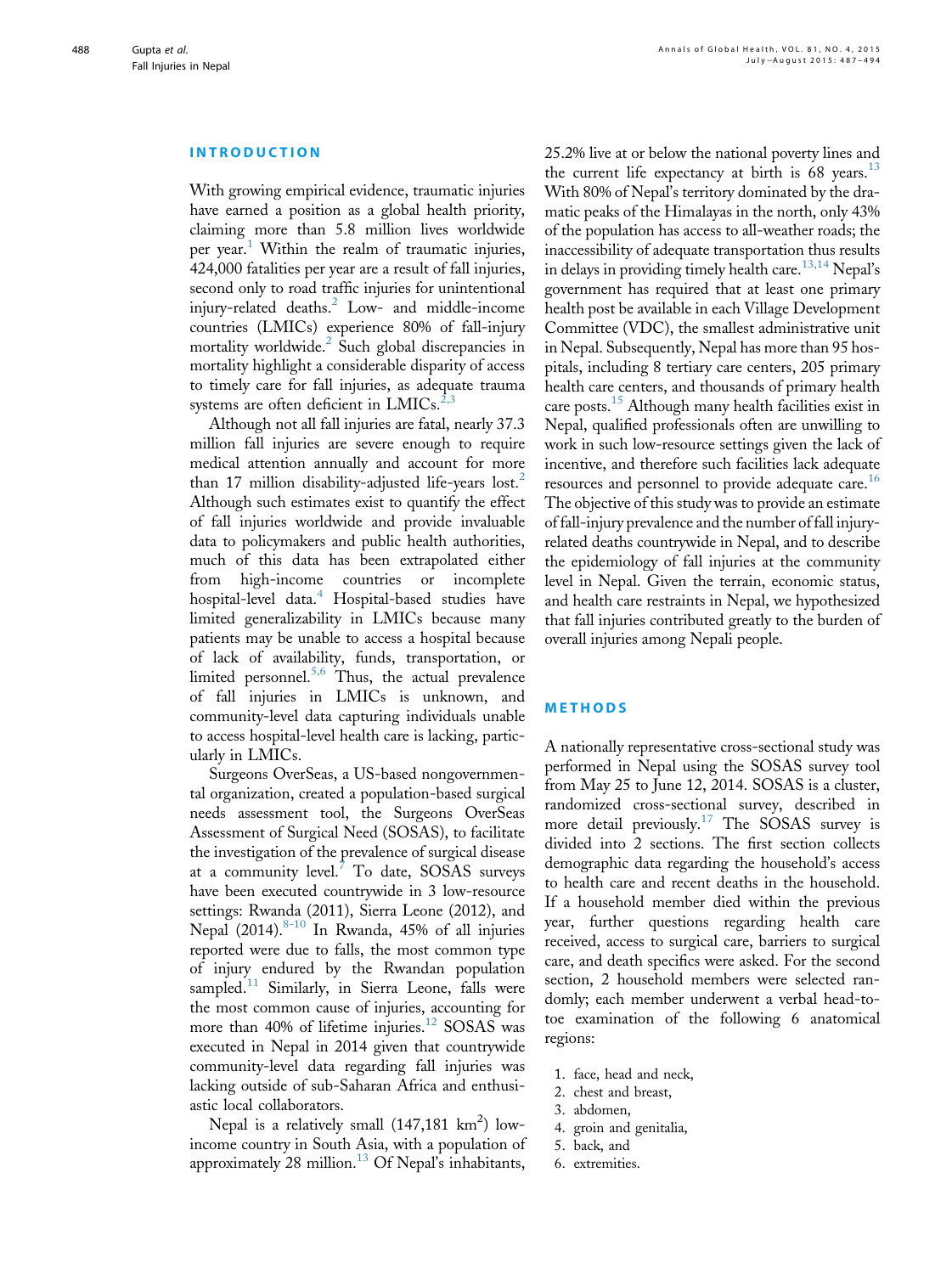#### INTRODUCTION

With growing empirical evidence, traumatic injuries have earned a position as a global health priority, claiming more than 5.8 million lives worldwide per year.<sup>[1](#page-6-0)</sup> Within the realm of traumatic injuries, 424,000 fatalities per year are a result of fall injuries, second only to road traffic injuries for unintentional injury-related deaths.<sup>[2](#page-6-0)</sup> Low- and middle-income countries (LMICs) experience 80% of fall-injury mortality worldwide. $^2$  $^2$  Such global discrepancies in mortality highlight a considerable disparity of access to timely care for fall injuries, as adequate trauma systems are often deficient in LMICs.<sup>2,</sup>

Although not all fall injuries are fatal, nearly 37.3 million fall injuries are severe enough to require medical attention annually and account for more than 17 million disability-adjusted life-years lost.<sup>[2](#page-6-0)</sup> Although such estimates exist to quantify the effect of fall injuries worldwide and provide invaluable data to policymakers and public health authorities, much of this data has been extrapolated either from high-income countries or incomplete hospital-level data.<sup>[4](#page-6-0)</sup> Hospital-based studies have limited generalizability in LMICs because many patients may be unable to access a hospital because of lack of availability, funds, transportation, or limited personnel. $5,6$  Thus, the actual prevalence of fall injuries in LMICs is unknown, and community-level data capturing individuals unable to access hospital-level health care is lacking, particularly in LMICs.

Surgeons OverSeas, a US-based nongovernmental organization, created a population-based surgical needs assessment tool, the Surgeons OverSeas Assessment of Surgical Need (SOSAS), to facilitate the investigation of the prevalence of surgical disease at a community level. $\frac{7}{10}$  $\frac{7}{10}$  $\frac{7}{10}$  To date, SOSAS surveys have been executed countrywide in 3 low-resource settings: Rwanda (2011), Sierra Leone (2012), and Nepal  $(2014).^{8-10}$  $(2014).^{8-10}$  $(2014).^{8-10}$  In Rwanda, 45% of all injuries reported were due to falls, the most common type of injury endured by the Rwandan population sampled.<sup>[11](#page-6-0)</sup> Similarly, in Sierra Leone, falls were the most common cause of injuries, accounting for more than 40% of lifetime injuries.<sup>[12](#page-6-0)</sup> SOSAS was executed in Nepal in 2014 given that countrywide community-level data regarding fall injuries was lacking outside of sub-Saharan Africa and enthusiastic local collaborators.

Nepal is a relatively small  $(147, 181 \text{ km}^2)$  lowincome country in South Asia, with a population of approximately 28 million.<sup>[13](#page-6-0)</sup> Of Nepal's inhabitants,

25.2% live at or below the national poverty lines and the current life expectancy at birth is  $68$  years.<sup>[13](#page-6-0)</sup> With 80% of Nepal's territory dominated by the dramatic peaks of the Himalayas in the north, only 43% of the population has access to all-weather roads; the inaccessibility of adequate transportation thus results in delays in providing timely health care.<sup>[13,14](#page-6-0)</sup> Nepal's government has required that at least one primary health post be available in each Village Development Committee (VDC), the smallest administrative unit in Nepal. Subsequently, Nepal has more than 95 hospitals, including 8 tertiary care centers, 205 primary health care centers, and thousands of primary health care posts.<sup>[15](#page-6-0)</sup> Although many health facilities exist in Nepal, qualified professionals often are unwilling to work in such low-resource settings given the lack of incentive, and therefore such facilities lack adequate resources and personnel to provide adequate care.<sup>[16](#page-6-0)</sup> The objective of this study was to provide an estimate of fall-injury prevalence and the number of fall injuryrelated deaths countrywide in Nepal, and to describe the epidemiology of fall injuries at the community level in Nepal. Given the terrain, economic status, and health care restraints in Nepal, we hypothesized that fall injuries contributed greatly to the burden of overall injuries among Nepali people.

## METHODS

A nationally representative cross-sectional study was performed in Nepal using the SOSAS survey tool from May 25 to June 12, 2014. SOSAS is a cluster, randomized cross-sectional survey, described in more detail previously.<sup>[17](#page-6-0)</sup> The SOSAS survey is divided into 2 sections. The first section collects demographic data regarding the household's access to health care and recent deaths in the household. If a household member died within the previous year, further questions regarding health care received, access to surgical care, barriers to surgical care, and death specifics were asked. For the second section, 2 household members were selected randomly; each member underwent a verbal head-totoe examination of the following 6 anatomical regions:

- 1. face, head and neck,
- 2. chest and breast,
- 3. abdomen,
- 4. groin and genitalia,
- 5. back, and
- 6. extremities.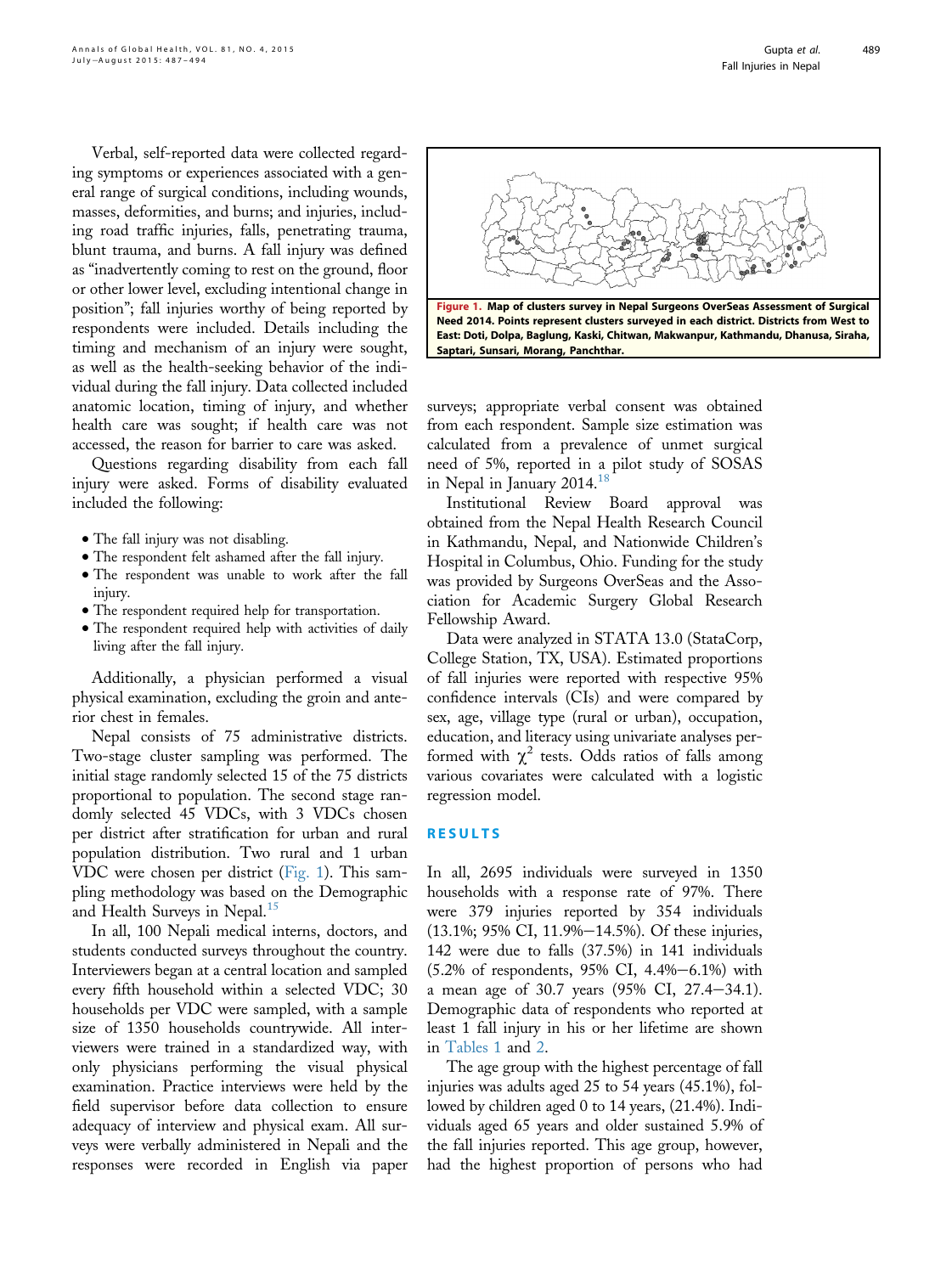Verbal, self-reported data were collected regarding symptoms or experiences associated with a general range of surgical conditions, including wounds, masses, deformities, and burns; and injuries, including road traffic injuries, falls, penetrating trauma, blunt trauma, and burns. A fall injury was defined as "inadvertently coming to rest on the ground, floor or other lower level, excluding intentional change in position"; fall injuries worthy of being reported by respondents were included. Details including the timing and mechanism of an injury were sought, as well as the health-seeking behavior of the individual during the fall injury. Data collected included anatomic location, timing of injury, and whether health care was sought; if health care was not accessed, the reason for barrier to care was asked.

Questions regarding disability from each fall injury were asked. Forms of disability evaluated included the following:

- The fall injury was not disabling.
- The respondent felt ashamed after the fall injury. <sup>d</sup> The respondent was unable to work after the fall injury.
- The respondent required help for transportation.
- The respondent required help with activities of daily living after the fall injury.

Additionally, a physician performed a visual physical examination, excluding the groin and anterior chest in females.

Nepal consists of 75 administrative districts. Two-stage cluster sampling was performed. The initial stage randomly selected 15 of the 75 districts proportional to population. The second stage randomly selected 45 VDCs, with 3 VDCs chosen per district after stratification for urban and rural population distribution. Two rural and 1 urban VDC were chosen per district (Fig. 1). This sampling methodology was based on the Demographic and Health Surveys in Nepal.<sup>[15](#page-6-0)</sup>

In all, 100 Nepali medical interns, doctors, and students conducted surveys throughout the country. Interviewers began at a central location and sampled every fifth household within a selected VDC; 30 households per VDC were sampled, with a sample size of 1350 households countrywide. All interviewers were trained in a standardized way, with only physicians performing the visual physical examination. Practice interviews were held by the field supervisor before data collection to ensure adequacy of interview and physical exam. All surveys were verbally administered in Nepali and the responses were recorded in English via paper



surveys; appropriate verbal consent was obtained from each respondent. Sample size estimation was calculated from a prevalence of unmet surgical need of 5%, reported in a pilot study of SOSAS in Nepal in January 2014.<sup>1</sup>

Institutional Review Board approval was obtained from the Nepal Health Research Council in Kathmandu, Nepal, and Nationwide Children's Hospital in Columbus, Ohio. Funding for the study was provided by Surgeons OverSeas and the Association for Academic Surgery Global Research Fellowship Award.

Data were analyzed in STATA 13.0 (StataCorp, College Station, TX, USA). Estimated proportions of fall injuries were reported with respective 95% confidence intervals (CIs) and were compared by sex, age, village type (rural or urban), occupation, education, and literacy using univariate analyses performed with  $\chi^2$  tests. Odds ratios of falls among various covariates were calculated with a logistic regression model.

## RESULTS

In all, 2695 individuals were surveyed in 1350 households with a response rate of 97%. There were 379 injuries reported by 354 individuals  $(13.1\%; 95\% \text{ CI}, 11.9\% - 14.5\%).$  Of these injuries, 142 were due to falls (37.5%) in 141 individuals  $(5.2\% \text{ of respondents}, 95\% \text{ CI}, 4.4\% - 6.1\%)$  with a mean age of 30.7 years  $(95\% \text{ CI}, 27.4-34.1).$ Demographic data of respondents who reported at least 1 fall injury in his or her lifetime are shown in [Tables 1](#page-3-0) and [2.](#page-3-0)

The age group with the highest percentage of fall injuries was adults aged 25 to 54 years (45.1%), followed by children aged 0 to 14 years, (21.4%). Individuals aged 65 years and older sustained 5.9% of the fall injuries reported. This age group, however, had the highest proportion of persons who had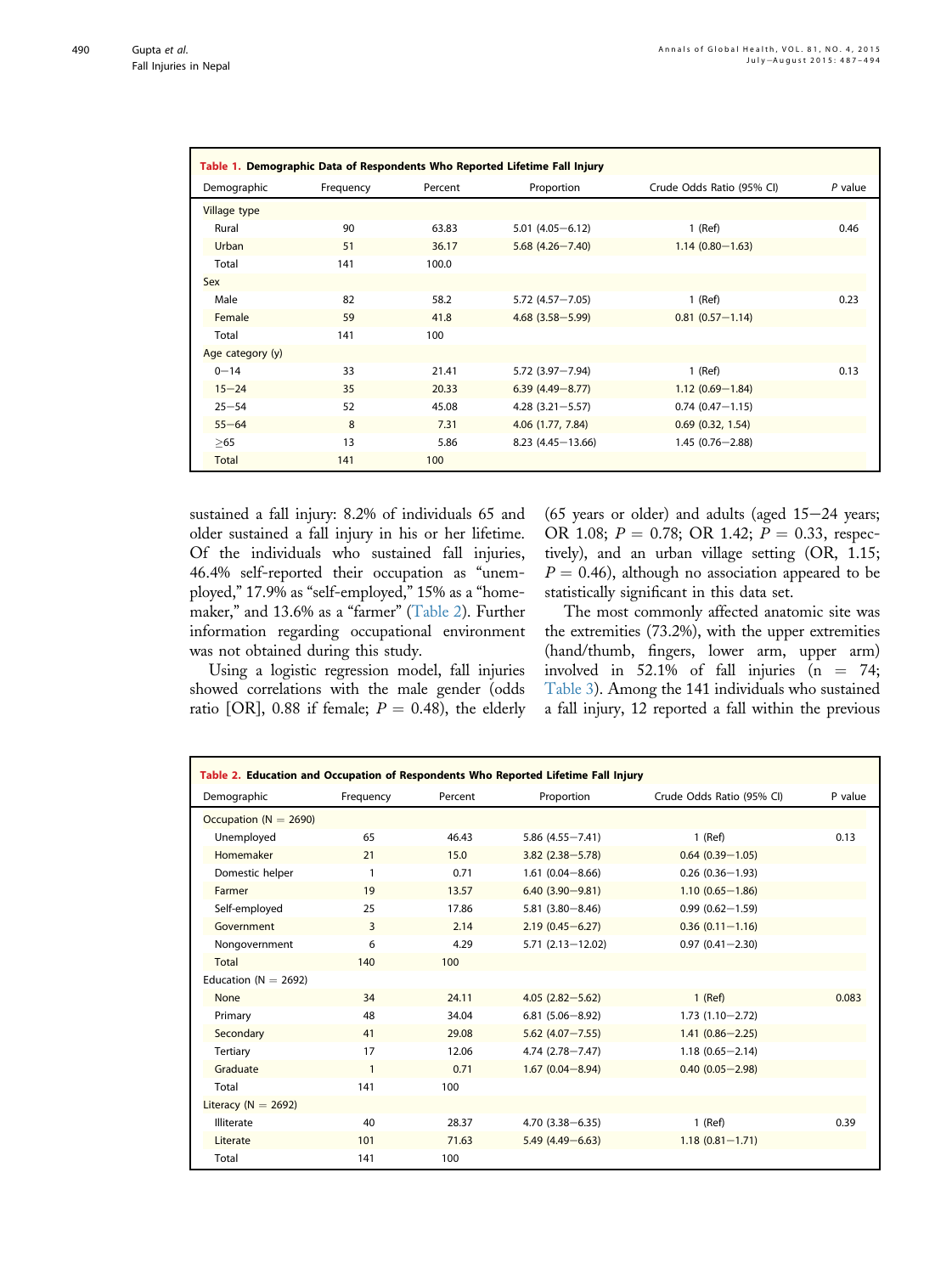<span id="page-3-0"></span>

| Table 1. Demographic Data of Respondents Who Reported Lifetime Fall Injury |           |         |                        |                           |           |  |  |
|----------------------------------------------------------------------------|-----------|---------|------------------------|---------------------------|-----------|--|--|
| Demographic                                                                | Frequency | Percent | Proportion             | Crude Odds Ratio (95% CI) | $P$ value |  |  |
| <b>Village type</b>                                                        |           |         |                        |                           |           |  |  |
| Rural                                                                      | 90        | 63.83   | $5.01(4.05 - 6.12)$    | $1$ (Ref)                 | 0.46      |  |  |
| Urban                                                                      | 51        | 36.17   | $5.68(4.26 - 7.40)$    | $1.14(0.80 - 1.63)$       |           |  |  |
| Total                                                                      | 141       | 100.0   |                        |                           |           |  |  |
| <b>Sex</b>                                                                 |           |         |                        |                           |           |  |  |
| Male                                                                       | 82        | 58.2    | $5.72(4.57 - 7.05)$    | $1$ (Ref)                 | 0.23      |  |  |
| Female                                                                     | 59        | 41.8    | $4.68$ $(3.58 - 5.99)$ | $0.81(0.57 - 1.14)$       |           |  |  |
| Total                                                                      | 141       | 100     |                        |                           |           |  |  |
| Age category (y)                                                           |           |         |                        |                           |           |  |  |
| $0 - 14$                                                                   | 33        | 21.41   | 5.72 (3.97-7.94)       | $1$ (Ref)                 | 0.13      |  |  |
| $15 - 24$                                                                  | 35        | 20.33   | $6.39(4.49 - 8.77)$    | $1.12(0.69 - 1.84)$       |           |  |  |
| $25 - 54$                                                                  | 52        | 45.08   | $4.28(3.21 - 5.57)$    | $0.74(0.47 - 1.15)$       |           |  |  |
| $55 - 64$                                                                  | 8         | 7.31    | 4.06 (1.77, 7.84)      | $0.69$ $(0.32, 1.54)$     |           |  |  |
| >65                                                                        | 13        | 5.86    | $8.23(4.45 - 13.66)$   | $1.45(0.76 - 2.88)$       |           |  |  |
| Total                                                                      | 141       | 100     |                        |                           |           |  |  |

sustained a fall injury: 8.2% of individuals 65 and older sustained a fall injury in his or her lifetime. Of the individuals who sustained fall injuries, 46.4% self-reported their occupation as "unemployed," 17.9% as "self-employed," 15% as a "homemaker," and 13.6% as a "farmer" (Table 2). Further information regarding occupational environment was not obtained during this study.

Using a logistic regression model, fall injuries showed correlations with the male gender (odds ratio [OR], 0.88 if female;  $P = 0.48$ ), the elderly (65 years or older) and adults (aged  $15-24$  years; OR 1.08;  $P = 0.78$ ; OR 1.42;  $P = 0.33$ , respectively), and an urban village setting (OR, 1.15;  $P = 0.46$ ), although no association appeared to be statistically significant in this data set.

The most commonly affected anatomic site was the extremities (73.2%), with the upper extremities (hand/thumb, fingers, lower arm, upper arm) involved in 52.1% of fall injuries  $(n = 74;$ [Table 3](#page-4-0)). Among the 141 individuals who sustained a fall injury, 12 reported a fall within the previous

| Table 2. Education and Occupation of Respondents Who Reported Lifetime Fall Injury |              |         |                      |                           |         |  |  |
|------------------------------------------------------------------------------------|--------------|---------|----------------------|---------------------------|---------|--|--|
| Demographic                                                                        | Frequency    | Percent | Proportion           | Crude Odds Ratio (95% CI) | P value |  |  |
| Occupation ( $N = 2690$ )                                                          |              |         |                      |                           |         |  |  |
| Unemployed                                                                         | 65           | 46.43   | $5.86(4.55 - 7.41)$  | $1$ (Ref)                 | 0.13    |  |  |
| Homemaker                                                                          | 21           | 15.0    | $3.82(2.38 - 5.78)$  | $0.64(0.39 - 1.05)$       |         |  |  |
| Domestic helper                                                                    | $\mathbf{1}$ | 0.71    | $1.61(0.04 - 8.66)$  | $0.26(0.36 - 1.93)$       |         |  |  |
| Farmer                                                                             | 19           | 13.57   | $6.40(3.90 - 9.81)$  | $1.10(0.65 - 1.86)$       |         |  |  |
| Self-employed                                                                      | 25           | 17.86   | $5.81(3.80 - 8.46)$  | $0.99(0.62 - 1.59)$       |         |  |  |
| Government                                                                         | 3            | 2.14    | $2.19(0.45 - 6.27)$  | $0.36(0.11 - 1.16)$       |         |  |  |
| Nongovernment                                                                      | 6            | 4.29    | $5.71(2.13 - 12.02)$ | $0.97(0.41 - 2.30)$       |         |  |  |
| Total                                                                              | 140          | 100     |                      |                           |         |  |  |
| Education ( $N = 2692$ )                                                           |              |         |                      |                           |         |  |  |
| None                                                                               | 34           | 24.11   | $4.05(2.82 - 5.62)$  | $1$ (Ref)                 | 0.083   |  |  |
| Primary                                                                            | 48           | 34.04   | $6.81(5.06 - 8.92)$  | $1.73(1.10 - 2.72)$       |         |  |  |
| Secondary                                                                          | 41           | 29.08   | $5.62(4.07 - 7.55)$  | $1.41(0.86 - 2.25)$       |         |  |  |
| Tertiary                                                                           | 17           | 12.06   | $4.74(2.78 - 7.47)$  | $1.18(0.65 - 2.14)$       |         |  |  |
| Graduate                                                                           | $\mathbf{1}$ | 0.71    | $1.67(0.04 - 8.94)$  | $0.40(0.05 - 2.98)$       |         |  |  |
| Total                                                                              | 141          | 100     |                      |                           |         |  |  |
| Literacy ( $N = 2692$ )                                                            |              |         |                      |                           |         |  |  |
| Illiterate                                                                         | 40           | 28.37   | $4.70(3.38 - 6.35)$  | $1$ (Ref)                 | 0.39    |  |  |
| Literate                                                                           | 101          | 71.63   | $5.49(4.49 - 6.63)$  | $1.18(0.81 - 1.71)$       |         |  |  |
| Total                                                                              | 141          | 100     |                      |                           |         |  |  |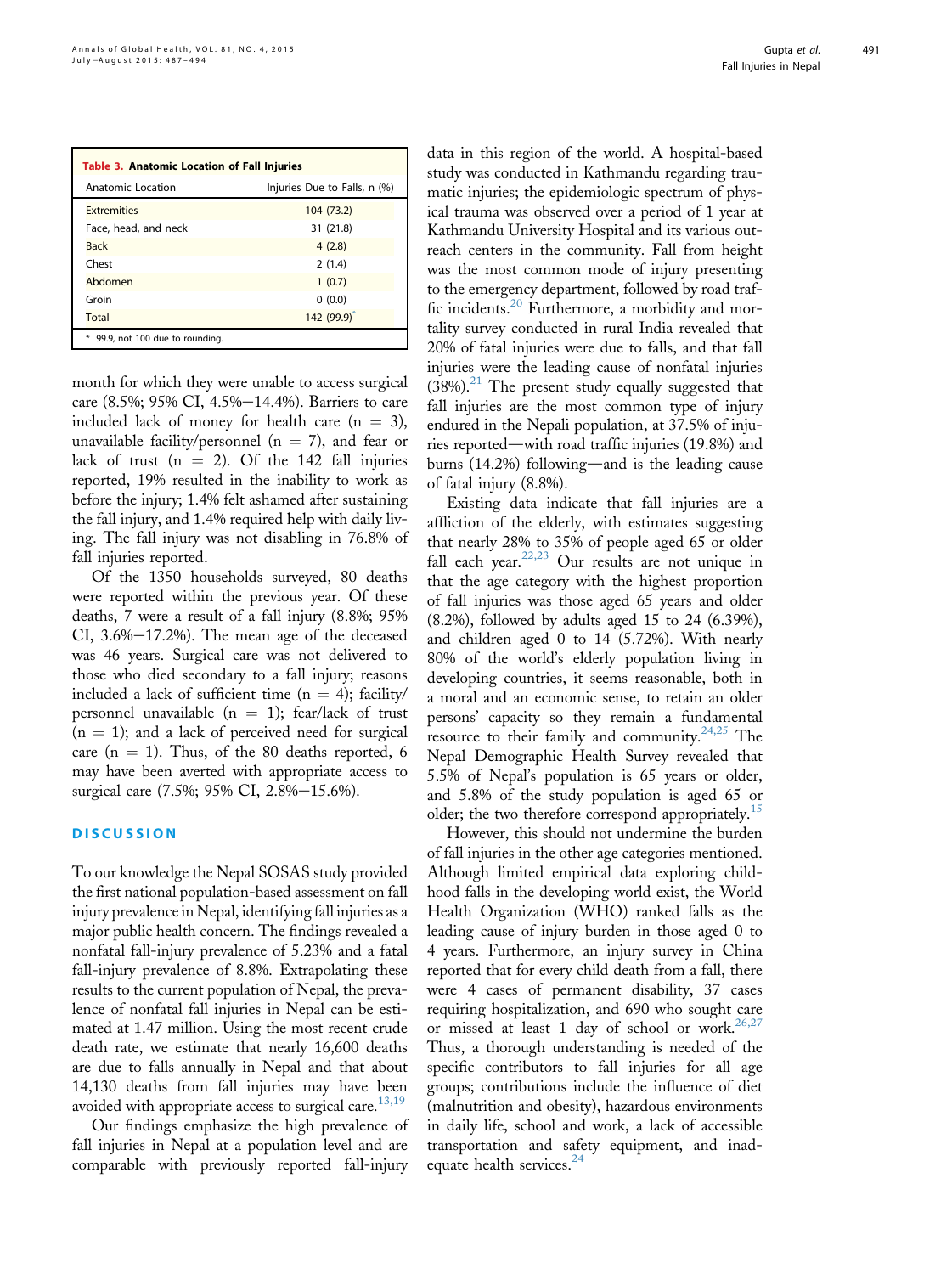<span id="page-4-0"></span>

| <b>Table 3. Anatomic Location of Fall Injuries</b> |                              |  |  |  |  |
|----------------------------------------------------|------------------------------|--|--|--|--|
| Anatomic Location                                  | Injuries Due to Falls, n (%) |  |  |  |  |
| <b>Extremities</b>                                 | 104 (73.2)                   |  |  |  |  |
| Face, head, and neck                               | 31 (21.8)                    |  |  |  |  |
| <b>Back</b>                                        | 4(2.8)                       |  |  |  |  |
| Chest                                              | 2(1.4)                       |  |  |  |  |
| Abdomen                                            | 1(0.7)                       |  |  |  |  |
| Groin                                              | 0(0.0)                       |  |  |  |  |
| Total                                              | 142 (99.9) <sup>*</sup>      |  |  |  |  |
| 99.9, not 100 due to rounding.                     |                              |  |  |  |  |

month for which they were unable to access surgical care  $(8.5\%; 95\% \text{ CI}, 4.5\% - 14.4\%).$  Barriers to care included lack of money for health care  $(n = 3)$ , unavailable facility/personnel ( $n = 7$ ), and fear or lack of trust  $(n = 2)$ . Of the 142 fall injuries reported, 19% resulted in the inability to work as before the injury; 1.4% felt ashamed after sustaining the fall injury, and 1.4% required help with daily living. The fall injury was not disabling in 76.8% of fall injuries reported.

Of the 1350 households surveyed, 80 deaths were reported within the previous year. Of these deaths, 7 were a result of a fall injury (8.8%; 95% CI,  $3.6\% - 17.2\%$ ). The mean age of the deceased was 46 years. Surgical care was not delivered to those who died secondary to a fall injury; reasons included a lack of sufficient time ( $n = 4$ ); facility/ personnel unavailable ( $n = 1$ ); fear/lack of trust  $(n = 1)$ ; and a lack of perceived need for surgical care  $(n = 1)$ . Thus, of the 80 deaths reported, 6 may have been averted with appropriate access to surgical care (7.5%; 95% CI, 2.8%-15.6%).

# **DISCUSSION**

To our knowledge the Nepal SOSAS study provided the first national population-based assessment on fall injury prevalence in Nepal, identifying fall injuries as a major public health concern. The findings revealed a nonfatal fall-injury prevalence of 5.23% and a fatal fall-injury prevalence of 8.8%. Extrapolating these results to the current population of Nepal, the prevalence of nonfatal fall injuries in Nepal can be estimated at 1.47 million. Using the most recent crude death rate, we estimate that nearly 16,600 deaths are due to falls annually in Nepal and that about 14,130 deaths from fall injuries may have been avoided with appropriate access to surgical care. $13,19$ 

Our findings emphasize the high prevalence of fall injuries in Nepal at a population level and are comparable with previously reported fall-injury

data in this region of the world. A hospital-based study was conducted in Kathmandu regarding traumatic injuries; the epidemiologic spectrum of physical trauma was observed over a period of 1 year at Kathmandu University Hospital and its various outreach centers in the community. Fall from height was the most common mode of injury presenting to the emergency department, followed by road traffic incidents.[20](#page-6-0) Furthermore, a morbidity and mortality survey conducted in rural India revealed that 20% of fatal injuries were due to falls, and that fall injuries were the leading cause of nonfatal injuries  $(38%)$ .<sup>[21](#page-6-0)</sup> The present study equally suggested that fall injuries are the most common type of injury endured in the Nepali population, at 37.5% of injuries reported—with road traffic injuries  $(19.8\%)$  and burns  $(14.2%)$  following—and is the leading cause of fatal injury (8.8%).

Existing data indicate that fall injuries are a affliction of the elderly, with estimates suggesting that nearly 28% to 35% of people aged 65 or older fall each year. $22,23$  Our results are not unique in that the age category with the highest proportion of fall injuries was those aged 65 years and older (8.2%), followed by adults aged 15 to 24 (6.39%), and children aged 0 to 14 (5.72%). With nearly 80% of the world's elderly population living in developing countries, it seems reasonable, both in a moral and an economic sense, to retain an older persons' capacity so they remain a fundamental resource to their family and community.<sup>[24,25](#page-6-0)</sup> The Nepal Demographic Health Survey revealed that 5.5% of Nepal's population is 65 years or older, and 5.8% of the study population is aged 65 or older; the two therefore correspond appropriately.<sup>[15](#page-6-0)</sup>

However, this should not undermine the burden of fall injuries in the other age categories mentioned. Although limited empirical data exploring childhood falls in the developing world exist, the World Health Organization (WHO) ranked falls as the leading cause of injury burden in those aged 0 to 4 years. Furthermore, an injury survey in China reported that for every child death from a fall, there were 4 cases of permanent disability, 37 cases requiring hospitalization, and 690 who sought care or missed at least 1 day of school or work.<sup>[26,27](#page-6-0)</sup> Thus, a thorough understanding is needed of the specific contributors to fall injuries for all age groups; contributions include the influence of diet (malnutrition and obesity), hazardous environments in daily life, school and work, a lack of accessible transportation and safety equipment, and inad-equate health services.<sup>[24](#page-6-0)</sup>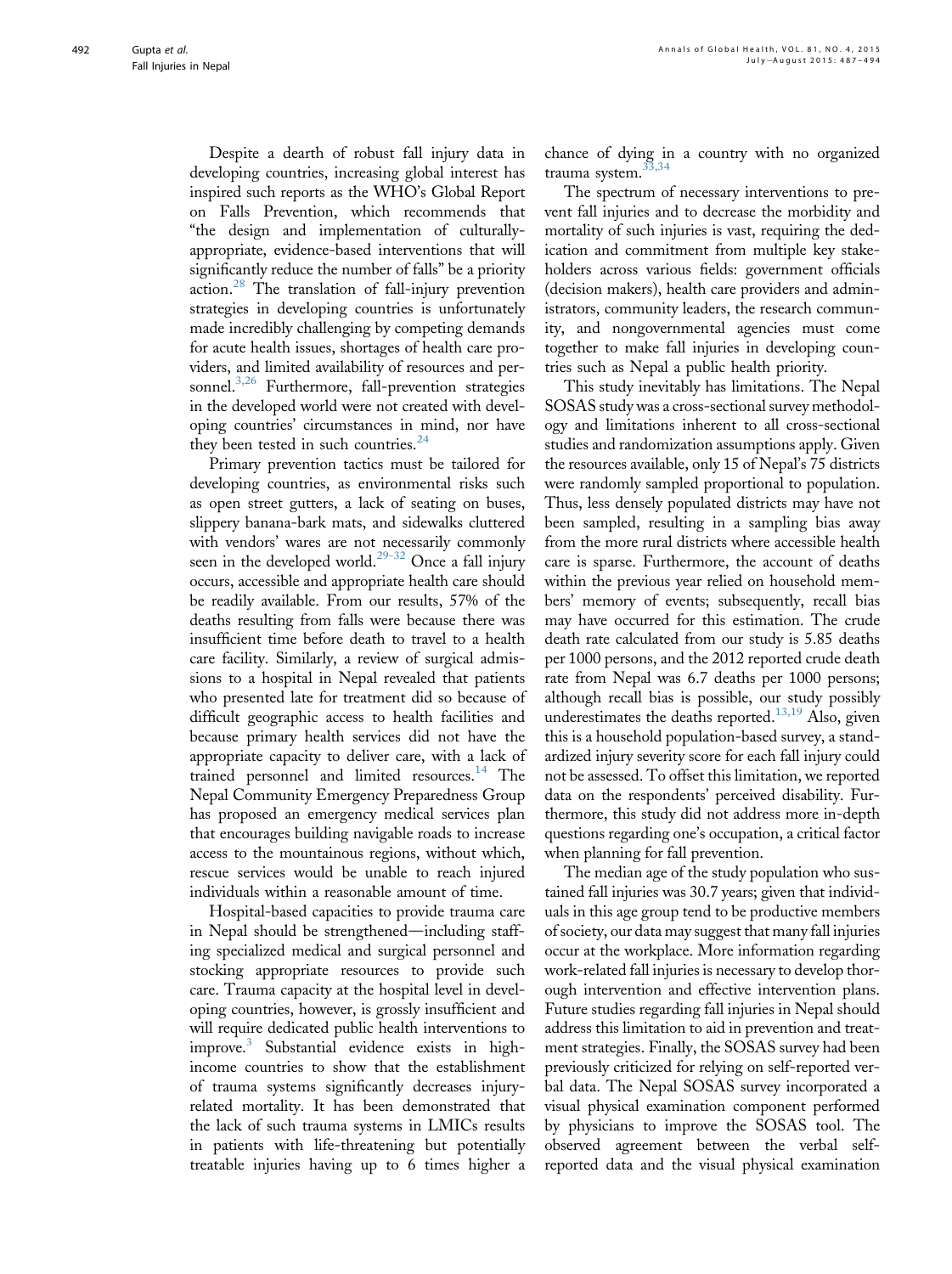Despite a dearth of robust fall injury data in developing countries, increasing global interest has inspired such reports as the WHO's Global Report on Falls Prevention, which recommends that "the design and implementation of culturallyappropriate, evidence-based interventions that will significantly reduce the number of falls" be a priority action.<sup>[28](#page-6-0)</sup> The translation of fall-injury prevention strategies in developing countries is unfortunately made incredibly challenging by competing demands for acute health issues, shortages of health care providers, and limited availability of resources and per-sonnel.<sup>[3,26](#page-6-0)</sup> Furthermore, fall-prevention strategies in the developed world were not created with developing countries' circumstances in mind, nor have they been tested in such countries. $24$ 

Primary prevention tactics must be tailored for developing countries, as environmental risks such as open street gutters, a lack of seating on buses, slippery banana-bark mats, and sidewalks cluttered with vendors' wares are not necessarily commonly seen in the developed world.<sup>[29-32](#page-6-0)</sup> Once a fall injury occurs, accessible and appropriate health care should be readily available. From our results, 57% of the deaths resulting from falls were because there was insufficient time before death to travel to a health care facility. Similarly, a review of surgical admissions to a hospital in Nepal revealed that patients who presented late for treatment did so because of difficult geographic access to health facilities and because primary health services did not have the appropriate capacity to deliver care, with a lack of trained personnel and limited resources.<sup>[14](#page-6-0)</sup> The Nepal Community Emergency Preparedness Group has proposed an emergency medical services plan that encourages building navigable roads to increase access to the mountainous regions, without which, rescue services would be unable to reach injured individuals within a reasonable amount of time.

Hospital-based capacities to provide trauma care in Nepal should be strengthened—including staffing specialized medical and surgical personnel and stocking appropriate resources to provide such care. Trauma capacity at the hospital level in developing countries, however, is grossly insufficient and will require dedicated public health interventions to improve.[3](#page-6-0) Substantial evidence exists in highincome countries to show that the establishment of trauma systems significantly decreases injuryrelated mortality. It has been demonstrated that the lack of such trauma systems in LMICs results in patients with life-threatening but potentially treatable injuries having up to 6 times higher a

chance of dying in a country with no organized trauma system.<sup>33</sup>

The spectrum of necessary interventions to prevent fall injuries and to decrease the morbidity and mortality of such injuries is vast, requiring the dedication and commitment from multiple key stakeholders across various fields: government officials (decision makers), health care providers and administrators, community leaders, the research community, and nongovernmental agencies must come together to make fall injuries in developing countries such as Nepal a public health priority.

This study inevitably has limitations. The Nepal SOSAS study was a cross-sectional survey methodology and limitations inherent to all cross-sectional studies and randomization assumptions apply. Given the resources available, only 15 of Nepal's 75 districts were randomly sampled proportional to population. Thus, less densely populated districts may have not been sampled, resulting in a sampling bias away from the more rural districts where accessible health care is sparse. Furthermore, the account of deaths within the previous year relied on household members' memory of events; subsequently, recall bias may have occurred for this estimation. The crude death rate calculated from our study is 5.85 deaths per 1000 persons, and the 2012 reported crude death rate from Nepal was 6.7 deaths per 1000 persons; although recall bias is possible, our study possibly underestimates the deaths reported.<sup>[13,19](#page-6-0)</sup> Also, given this is a household population-based survey, a standardized injury severity score for each fall injury could not be assessed. To offset this limitation, we reported data on the respondents' perceived disability. Furthermore, this study did not address more in-depth questions regarding one's occupation, a critical factor when planning for fall prevention.

The median age of the study population who sustained fall injuries was 30.7 years; given that individuals in this age group tend to be productive members of society, our data may suggest that many fall injuries occur at the workplace. More information regarding work-related fall injuries is necessary to develop thorough intervention and effective intervention plans. Future studies regarding fall injuries in Nepal should address this limitation to aid in prevention and treatment strategies. Finally, the SOSAS survey had been previously criticized for relying on self-reported verbal data. The Nepal SOSAS survey incorporated a visual physical examination component performed by physicians to improve the SOSAS tool. The observed agreement between the verbal selfreported data and the visual physical examination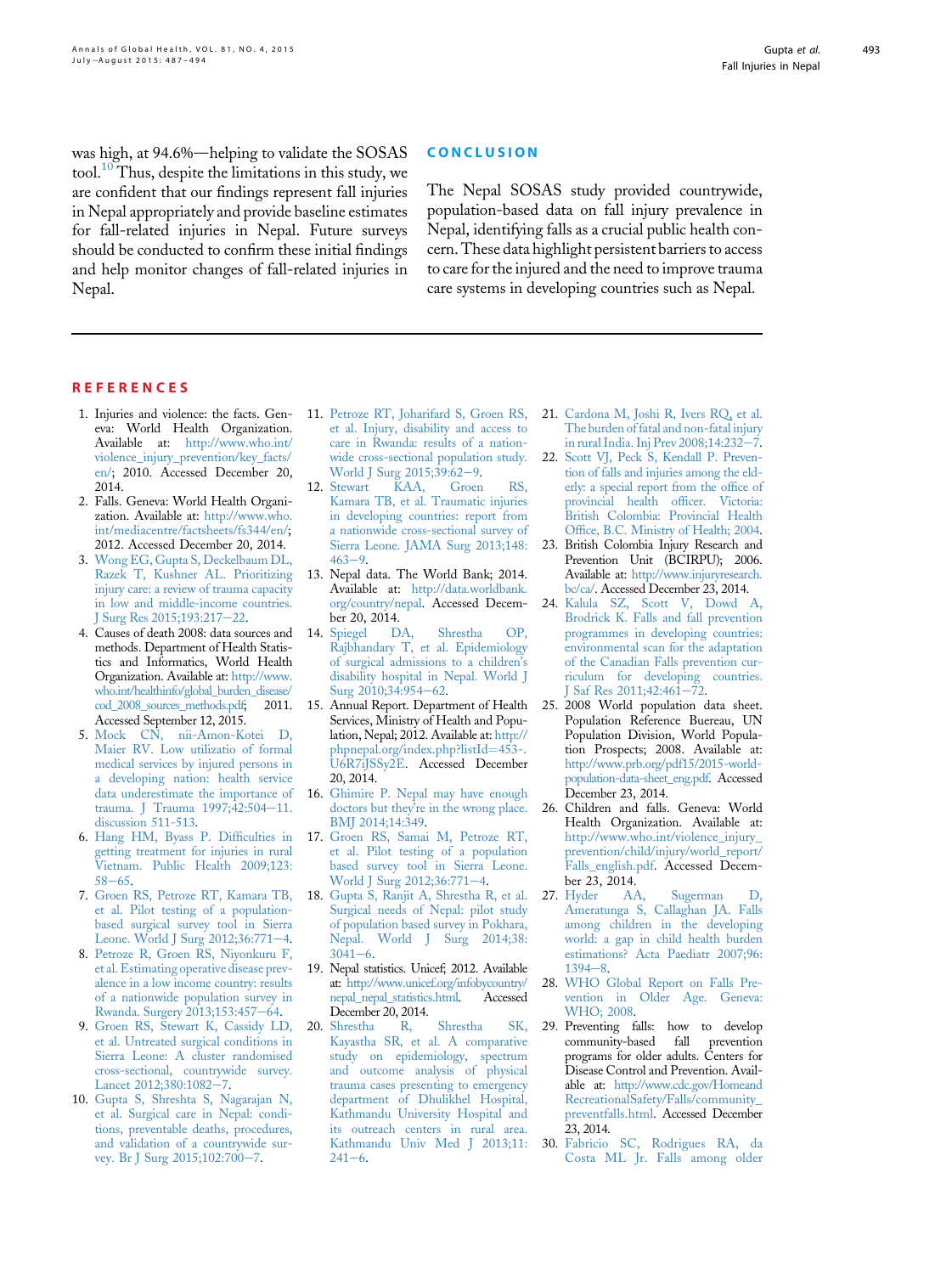#### **CONCLUSION**

<span id="page-6-0"></span>was high, at 94.6%—helping to validate the SOSAS tool. $10$  Thus, despite the limitations in this study, we are confident that our findings represent fall injuries in Nepal appropriately and provide baseline estimates for fall-related injuries in Nepal. Future surveys should be conducted to confirm these initial findings and help monitor changes of fall-related injuries in Nepal.

The Nepal SOSAS study provided countrywide, population-based data on fall injury prevalence in Nepal, identifying falls as a crucial public health concern. These data highlight persistent barriers to access to care for the injured and the need to improve trauma care systems in developing countries such as Nepal.

#### **REFERENCES**

- 1. Injuries and violence: the facts. Geneva: World Health Organization. Available at: [http://www.who.int/](http://www.who.int/violence_injury_prevention/key_facts/en/) [violence\\_injury\\_prevention/key\\_facts/](http://www.who.int/violence_injury_prevention/key_facts/en/) [en/;](http://www.who.int/violence_injury_prevention/key_facts/en/) 2010. Accessed December 20, 2014.
- 2. Falls. Geneva: World Health Organization. Available at: [http://www.who.](http://www.who.int/mediacentre/factsheets/fs344/en/) [int/mediacentre/factsheets/fs344/en/;](http://www.who.int/mediacentre/factsheets/fs344/en/) 2012. Accessed December 20, 2014.
- 3. [Wong EG, Gupta S, Deckelbaum DL,](http://refhub.elsevier.com/S2214-9996(15)01216-3/sref3) [Razek T, Kushner AL. Prioritizing](http://refhub.elsevier.com/S2214-9996(15)01216-3/sref3) [injury care: a review of trauma capacity](http://refhub.elsevier.com/S2214-9996(15)01216-3/sref3) [in low and middle-income countries.](http://refhub.elsevier.com/S2214-9996(15)01216-3/sref3) [J Surg Res 2015;193:217](http://refhub.elsevier.com/S2214-9996(15)01216-3/sref3)-[22.](http://refhub.elsevier.com/S2214-9996(15)01216-3/sref3)
- 4. Causes of death 2008: data sources and methods. Department of Health Statistics and Informatics, World Health Organization. Available at: [http://www.](http://www.who.int/healthinfo/global_burden_disease/cod_2008_sources_methods.pdf) [who.int/healthinfo/global\\_burden\\_disease/](http://www.who.int/healthinfo/global_burden_disease/cod_2008_sources_methods.pdf)<br>cod 2008 sources methods.pdf: 2011. [cod\\_2008\\_sources\\_methods.pdf;](http://www.who.int/healthinfo/global_burden_disease/cod_2008_sources_methods.pdf) Accessed September 12, 2015.
- 5. [Mock CN, nii-Amon-Kotei D,](http://refhub.elsevier.com/S2214-9996(15)01216-3/sref5) [Maier RV. Low utilizatio of formal](http://refhub.elsevier.com/S2214-9996(15)01216-3/sref5) [medical services by injured persons in](http://refhub.elsevier.com/S2214-9996(15)01216-3/sref5) [a developing nation: health service](http://refhub.elsevier.com/S2214-9996(15)01216-3/sref5) [data underestimate the importance of](http://refhub.elsevier.com/S2214-9996(15)01216-3/sref5) [trauma. J Trauma 1997;42:504](http://refhub.elsevier.com/S2214-9996(15)01216-3/sref5)-[11.](http://refhub.elsevier.com/S2214-9996(15)01216-3/sref5) [discussion 511-513.](http://refhub.elsevier.com/S2214-9996(15)01216-3/sref5)
- 6. [Hang HM, Byass P. Dif](http://refhub.elsevier.com/S2214-9996(15)01216-3/sref6)ficulties in [getting treatment for injuries in rural](http://refhub.elsevier.com/S2214-9996(15)01216-3/sref6) [Vietnam. Public Health 2009;123:](http://refhub.elsevier.com/S2214-9996(15)01216-3/sref6)  $58 - 65$  $58 - 65$  $58 - 65$
- 7. [Groen RS, Petroze RT, Kamara TB,](http://refhub.elsevier.com/S2214-9996(15)01216-3/sref7) [et al. Pilot testing of a population](http://refhub.elsevier.com/S2214-9996(15)01216-3/sref7)[based surgical survey tool in Sierra](http://refhub.elsevier.com/S2214-9996(15)01216-3/sref7) [Leone. World J Surg 2012;36:771](http://refhub.elsevier.com/S2214-9996(15)01216-3/sref7)-[4.](http://refhub.elsevier.com/S2214-9996(15)01216-3/sref7)
- 8. [Petroze R, Groen RS, Niyonkuru F,](http://refhub.elsevier.com/S2214-9996(15)01216-3/sref8) [et al. Estimating operative disease prev](http://refhub.elsevier.com/S2214-9996(15)01216-3/sref8)[alence in a low income country: results](http://refhub.elsevier.com/S2214-9996(15)01216-3/sref8) [of a nationwide population survey in](http://refhub.elsevier.com/S2214-9996(15)01216-3/sref8) [Rwanda. Surgery 2013;153:457](http://refhub.elsevier.com/S2214-9996(15)01216-3/sref8)-[64.](http://refhub.elsevier.com/S2214-9996(15)01216-3/sref8)
- 9. [Groen RS, Stewart K, Cassidy LD,](http://refhub.elsevier.com/S2214-9996(15)01216-3/sref9) [et al. Untreated surgical conditions in](http://refhub.elsevier.com/S2214-9996(15)01216-3/sref9) [Sierra Leone: A cluster randomised](http://refhub.elsevier.com/S2214-9996(15)01216-3/sref9) [cross-sectional, countrywide survey.](http://refhub.elsevier.com/S2214-9996(15)01216-3/sref9) [Lancet 2012;380:1082](http://refhub.elsevier.com/S2214-9996(15)01216-3/sref9)-[7](http://refhub.elsevier.com/S2214-9996(15)01216-3/sref9).
- 10. [Gupta S, Shreshta S, Nagarajan N,](http://refhub.elsevier.com/S2214-9996(15)01216-3/sref10) [et al. Surgical care in Nepal: condi](http://refhub.elsevier.com/S2214-9996(15)01216-3/sref10)[tions, preventable deaths, procedures,](http://refhub.elsevier.com/S2214-9996(15)01216-3/sref10) [and validation of a countrywide sur](http://refhub.elsevier.com/S2214-9996(15)01216-3/sref10)[vey. Br J Surg 2015;102:700](http://refhub.elsevier.com/S2214-9996(15)01216-3/sref10)-[7.](http://refhub.elsevier.com/S2214-9996(15)01216-3/sref10)
- 11. [Petroze RT, Joharifard S, Groen RS,](http://refhub.elsevier.com/S2214-9996(15)01216-3/sref11) [et al. Injury, disability and access to](http://refhub.elsevier.com/S2214-9996(15)01216-3/sref11) [care in Rwanda: results of a nation](http://refhub.elsevier.com/S2214-9996(15)01216-3/sref11)[wide cross-sectional population study.](http://refhub.elsevier.com/S2214-9996(15)01216-3/sref11) World J Surg  $2015;39:62-9$ .<br>Stewart KAA, Groen
- 12. [Stewart KAA, Groen RS,](http://refhub.elsevier.com/S2214-9996(15)01216-3/sref12) [Kamara TB, et al. Traumatic injuries](http://refhub.elsevier.com/S2214-9996(15)01216-3/sref12) [in developing countries: report from](http://refhub.elsevier.com/S2214-9996(15)01216-3/sref12) [a nationwide cross-sectional survey of](http://refhub.elsevier.com/S2214-9996(15)01216-3/sref12) [Sierra Leone. JAMA Surg 2013;148:](http://refhub.elsevier.com/S2214-9996(15)01216-3/sref12)  $463 - 9$  $463 - 9$
- 13. Nepal data. The World Bank; 2014. Available at: [http://data.worldbank.](http://data.worldbank.org/country/nepal) [org/country/nepal](http://data.worldbank.org/country/nepal). Accessed Decem-
- ber 20, 2014.<br>Spiegel DA. 14. [Spiegel DA, Shrestha OP,](http://refhub.elsevier.com/S2214-9996(15)01216-3/sref14) [Rajbhandary T, et al. Epidemiology](http://refhub.elsevier.com/S2214-9996(15)01216-3/sref14) [of surgical admissions to a children](http://refhub.elsevier.com/S2214-9996(15)01216-3/sref14)'s [disability hospital in Nepal. World J](http://refhub.elsevier.com/S2214-9996(15)01216-3/sref14) Surg  $2010;34:954-62$ .
- 15. Annual Report. Department of Health Services, Ministry of Health and Population, Nepal; 2012. Available at: [http://](http://phpnepal.org/index.php?listId=453-.U6R7iJSSy2E) [phpnepal.org/index.php?listId](http://phpnepal.org/index.php?listId=453-.U6R7iJSSy2E)=[453-.](http://phpnepal.org/index.php?listId=453-.U6R7iJSSy2E) [U6R7iJSSy2E.](http://phpnepal.org/index.php?listId=453-.U6R7iJSSy2E) Accessed December 20, 2014.
- 16. [Ghimire P. Nepal may have enough](http://refhub.elsevier.com/S2214-9996(15)01216-3/sref16) doctors but they'[re in the wrong place.](http://refhub.elsevier.com/S2214-9996(15)01216-3/sref16) [BMJ 2014;14:349.](http://refhub.elsevier.com/S2214-9996(15)01216-3/sref16)
- 17. [Groen RS, Samai M, Petroze RT,](http://refhub.elsevier.com/S2214-9996(15)01216-3/sref17) [et al. Pilot testing of a population](http://refhub.elsevier.com/S2214-9996(15)01216-3/sref17) [based survey tool in Sierra Leone.](http://refhub.elsevier.com/S2214-9996(15)01216-3/sref17) [World J Surg 2012;36:771](http://refhub.elsevier.com/S2214-9996(15)01216-3/sref17)-[4.](http://refhub.elsevier.com/S2214-9996(15)01216-3/sref17)
- 18. [Gupta S, Ranjit A, Shrestha R, et al.](http://refhub.elsevier.com/S2214-9996(15)01216-3/sref18) [Surgical needs of Nepal: pilot study](http://refhub.elsevier.com/S2214-9996(15)01216-3/sref18) [of population based survey in Pokhara,](http://refhub.elsevier.com/S2214-9996(15)01216-3/sref18) [Nepal. World J Surg 2014;38:](http://refhub.elsevier.com/S2214-9996(15)01216-3/sref18)  $3041 - 6$  $3041 - 6$ .
- 19. Nepal statistics. Unicef; 2012. Available at: [http://www.unicef.org/infobycountry/](http://www.unicef.org/infobycountry/nepal_nepal_statistics.html) [nepal\\_nepal\\_statistics.html.](http://www.unicef.org/infobycountry/nepal_nepal_statistics.html) Accessed December 20, 2014.<br>Shrestha R,
- 20. [Shrestha R, Shrestha SK,](http://refhub.elsevier.com/S2214-9996(15)01216-3/sref20) [Kayastha SR, et al. A comparative](http://refhub.elsevier.com/S2214-9996(15)01216-3/sref20) [study on epidemiology, spectrum](http://refhub.elsevier.com/S2214-9996(15)01216-3/sref20) [and outcome analysis of physical](http://refhub.elsevier.com/S2214-9996(15)01216-3/sref20) [trauma cases presenting to emergency](http://refhub.elsevier.com/S2214-9996(15)01216-3/sref20) [department of Dhulikhel Hospital,](http://refhub.elsevier.com/S2214-9996(15)01216-3/sref20) [Kathmandu University Hospital and](http://refhub.elsevier.com/S2214-9996(15)01216-3/sref20) [its outreach centers in rural area.](http://refhub.elsevier.com/S2214-9996(15)01216-3/sref20) [Kathmandu Univ Med J 2013;11:](http://refhub.elsevier.com/S2214-9996(15)01216-3/sref20)  $241 - 6$  $241 - 6$
- 21. [Cardona M, Joshi R, Ivers RQ, et al.](http://refhub.elsevier.com/S2214-9996(15)01216-3/sref21) [The burden of fatal and non-fatal injury](http://refhub.elsevier.com/S2214-9996(15)01216-3/sref21) [in rural India. Inj Prev 2008;14:232](http://refhub.elsevier.com/S2214-9996(15)01216-3/sref21)-[7.](http://refhub.elsevier.com/S2214-9996(15)01216-3/sref21)
- 22. [Scott VJ, Peck S, Kendall P. Preven](http://refhub.elsevier.com/S2214-9996(15)01216-3/sref22)[tion of falls and injuries among the eld](http://refhub.elsevier.com/S2214-9996(15)01216-3/sref22)[erly: a special report from the of](http://refhub.elsevier.com/S2214-9996(15)01216-3/sref22)fice of [provincial health of](http://refhub.elsevier.com/S2214-9996(15)01216-3/sref22)ficer. Victoria: [British Colombia: Provincial Health](http://refhub.elsevier.com/S2214-9996(15)01216-3/sref22) Offi[ce, B.C. Ministry of Health; 2004.](http://refhub.elsevier.com/S2214-9996(15)01216-3/sref22)
- 23. British Colombia Injury Research and Prevention Unit (BCIRPU); 2006. Available at: [http://www.injuryresearch.](http://www.injuryresearch.bc/ca/) [bc/ca/](http://www.injuryresearch.bc/ca/). Accessed December 23, 2014.
- 24. [Kalula SZ, Scott V, Dowd A,](http://refhub.elsevier.com/S2214-9996(15)01216-3/sref24) [Brodrick K. Falls and fall prevention](http://refhub.elsevier.com/S2214-9996(15)01216-3/sref24) [programmes in developing countries:](http://refhub.elsevier.com/S2214-9996(15)01216-3/sref24) [environmental scan for the adaptation](http://refhub.elsevier.com/S2214-9996(15)01216-3/sref24) [of the Canadian Falls prevention cur](http://refhub.elsevier.com/S2214-9996(15)01216-3/sref24)[riculum for developing countries.](http://refhub.elsevier.com/S2214-9996(15)01216-3/sref24) [J Saf Res 2011;42:461](http://refhub.elsevier.com/S2214-9996(15)01216-3/sref24)-[72.](http://refhub.elsevier.com/S2214-9996(15)01216-3/sref24)
- 25. 2008 World population data sheet. Population Reference Buereau, UN Population Division, World Population Prospects; 2008. Available at: [http://www.prb.org/pdf15/2015-world](http://www.prb.org/pdf15/2015-world-population-data-sheet_eng.pdf)[population-data-sheet\\_eng.pdf](http://www.prb.org/pdf15/2015-world-population-data-sheet_eng.pdf). Accessed December 23, 2014.
- 26. Children and falls. Geneva: World Health Organization. Available at: http://www.who.int/violence\_injury [prevention/child/injury/world\\_report/](http://www.who.int/violence_injury_prevention/child/injury/world_report/Falls_english.pdf) [Falls\\_english.pdf.](http://www.who.int/violence_injury_prevention/child/injury/world_report/Falls_english.pdf) Accessed December 23, 2014.<br>27. Hyder AA,
- Sugerman D, [Ameratunga S, Callaghan JA. Falls](http://refhub.elsevier.com/S2214-9996(15)01216-3/sref27) [among children in the developing](http://refhub.elsevier.com/S2214-9996(15)01216-3/sref27) [world: a gap in child health burden](http://refhub.elsevier.com/S2214-9996(15)01216-3/sref27) [estimations? Acta Paediatr 2007;96:](http://refhub.elsevier.com/S2214-9996(15)01216-3/sref27)  $1394 - 8$  $1394 - 8$ .
- 28. [WHO Global Report on Falls Pre](http://refhub.elsevier.com/S2214-9996(15)01216-3/sref28)[vention in Older Age. Geneva:](http://refhub.elsevier.com/S2214-9996(15)01216-3/sref28) [WHO; 2008](http://refhub.elsevier.com/S2214-9996(15)01216-3/sref28).
- 29. Preventing falls: how to develop community-based fall prevention community-based fall programs for older adults. Centers for Disease Control and Prevention. Available at: [http://www.cdc.gov/Homeand](http://www.cdc.gov/HomeandRecreationalSafety/Falls/community_preventfalls.html) [RecreationalSafety/Falls/community\\_](http://www.cdc.gov/HomeandRecreationalSafety/Falls/community_preventfalls.html) [preventfalls.html](http://www.cdc.gov/HomeandRecreationalSafety/Falls/community_preventfalls.html). Accessed December 23, 2014.
- 30. [Fabricio SC, Rodrigues RA, da](http://refhub.elsevier.com/S2214-9996(15)01216-3/sref30) [Costa ML Jr. Falls among older](http://refhub.elsevier.com/S2214-9996(15)01216-3/sref30)